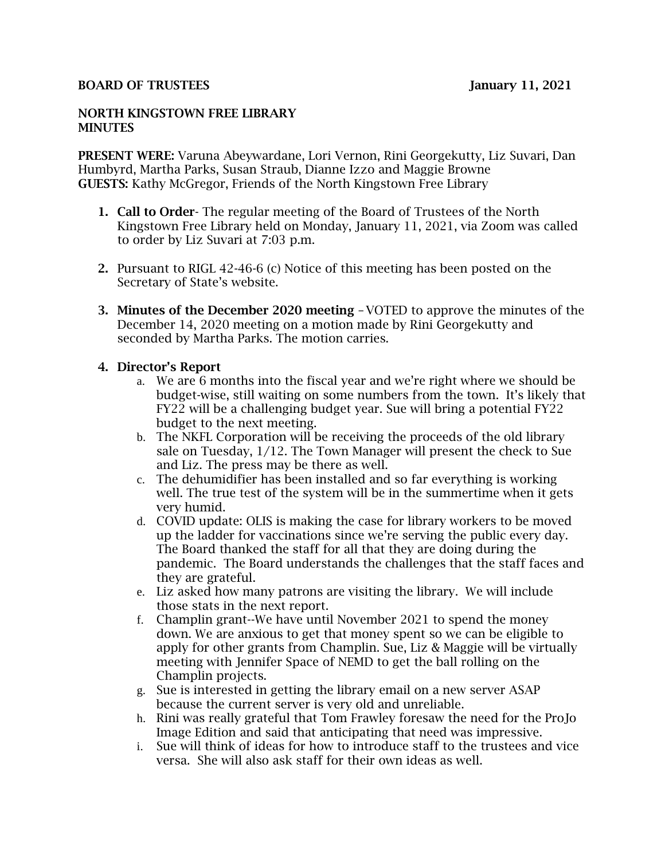#### BOARD OF TRUSTEES January 11, 2021

#### NORTH KINGSTOWN FREE LIBRARY **MINUTES**

PRESENT WERE: Varuna Abeywardane, Lori Vernon, Rini Georgekutty, Liz Suvari, Dan Humbyrd, Martha Parks, Susan Straub, Dianne Izzo and Maggie Browne GUESTS: Kathy McGregor, Friends of the North Kingstown Free Library

- 1. Call to Order- The regular meeting of the Board of Trustees of the North Kingstown Free Library held on Monday, January 11, 2021, via Zoom was called to order by Liz Suvari at 7:03 p.m.
- 2. Pursuant to RIGL 42-46-6 (c) Notice of this meeting has been posted on the Secretary of State's website.
- 3. Minutes of the December 2020 meeting –VOTED to approve the minutes of the December 14, 2020 meeting on a motion made by Rini Georgekutty and seconded by Martha Parks. The motion carries.

#### 4. Director's Report

- a. We are 6 months into the fiscal year and we're right where we should be budget-wise, still waiting on some numbers from the town. It's likely that FY22 will be a challenging budget year. Sue will bring a potential FY22 budget to the next meeting.
- b. The NKFL Corporation will be receiving the proceeds of the old library sale on Tuesday, 1/12. The Town Manager will present the check to Sue and Liz. The press may be there as well.
- c. The dehumidifier has been installed and so far everything is working well. The true test of the system will be in the summertime when it gets very humid.
- d. COVID update: OLIS is making the case for library workers to be moved up the ladder for vaccinations since we're serving the public every day. The Board thanked the staff for all that they are doing during the pandemic. The Board understands the challenges that the staff faces and they are grateful.
- e. Liz asked how many patrons are visiting the library. We will include those stats in the next report.
- f. Champlin grant--We have until November 2021 to spend the money down. We are anxious to get that money spent so we can be eligible to apply for other grants from Champlin. Sue, Liz & Maggie will be virtually meeting with Jennifer Space of NEMD to get the ball rolling on the Champlin projects.
- g. Sue is interested in getting the library email on a new server ASAP because the current server is very old and unreliable.
- h. Rini was really grateful that Tom Frawley foresaw the need for the ProJo Image Edition and said that anticipating that need was impressive.
- i. Sue will think of ideas for how to introduce staff to the trustees and vice versa. She will also ask staff for their own ideas as well.